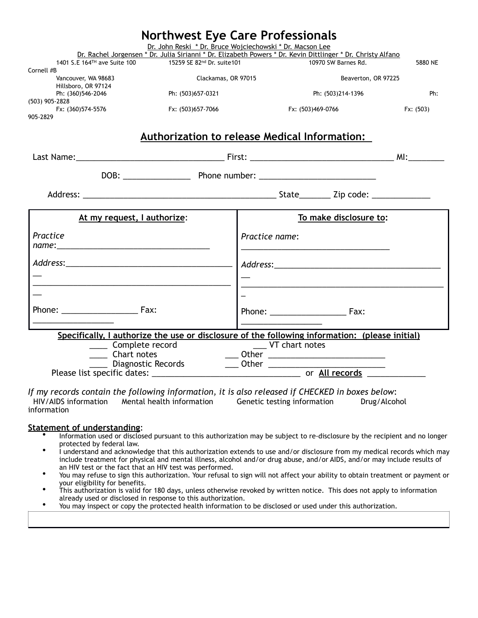| Dr. John Reski * Dr. Bruce Wojciechowski * Dr. Macson Lee<br>Dr. Rachel Jorgensen * Dr. Julia Sirianni * Dr. Elizabeth Powers * Dr. Kevin Dittlinger * Dr. Christy Alfano<br>1401 S.E 164TH ave Suite 100<br>10970 SW Barnes Rd.<br>15259 SE 82nd Dr. suite101<br>Cornell #B<br>Vancouver, WA 98683<br>Clackamas, OR 97015<br>Beaverton, OR 97225<br>Hillsboro, OR 97124<br>Ph: (360)546-2046<br>Ph: (503)657-0321<br>Ph: (503)214-1396<br>(503) 905-2828<br>Fx: (360)574-5576<br>Fx: (503)657-7066<br>Fx: (503)469-0766<br>905-2829<br>Authorization to release Medical Information: |           |
|---------------------------------------------------------------------------------------------------------------------------------------------------------------------------------------------------------------------------------------------------------------------------------------------------------------------------------------------------------------------------------------------------------------------------------------------------------------------------------------------------------------------------------------------------------------------------------------|-----------|
|                                                                                                                                                                                                                                                                                                                                                                                                                                                                                                                                                                                       |           |
|                                                                                                                                                                                                                                                                                                                                                                                                                                                                                                                                                                                       | 5880 NE   |
|                                                                                                                                                                                                                                                                                                                                                                                                                                                                                                                                                                                       |           |
|                                                                                                                                                                                                                                                                                                                                                                                                                                                                                                                                                                                       | Ph:       |
|                                                                                                                                                                                                                                                                                                                                                                                                                                                                                                                                                                                       | Fx: (503) |
|                                                                                                                                                                                                                                                                                                                                                                                                                                                                                                                                                                                       |           |
|                                                                                                                                                                                                                                                                                                                                                                                                                                                                                                                                                                                       |           |
|                                                                                                                                                                                                                                                                                                                                                                                                                                                                                                                                                                                       |           |
|                                                                                                                                                                                                                                                                                                                                                                                                                                                                                                                                                                                       |           |
| To make disclosure to:<br>At my request, I authorize:                                                                                                                                                                                                                                                                                                                                                                                                                                                                                                                                 |           |
| Practice<br>Practice name:                                                                                                                                                                                                                                                                                                                                                                                                                                                                                                                                                            |           |
|                                                                                                                                                                                                                                                                                                                                                                                                                                                                                                                                                                                       |           |
|                                                                                                                                                                                                                                                                                                                                                                                                                                                                                                                                                                                       |           |
|                                                                                                                                                                                                                                                                                                                                                                                                                                                                                                                                                                                       |           |
| Phone: Fax:<br>Phone: Fax:                                                                                                                                                                                                                                                                                                                                                                                                                                                                                                                                                            |           |
| Specifically, I authorize the use or disclosure of the following information: (please initial)<br>_____ Complete record<br>_____ VT chart notes                                                                                                                                                                                                                                                                                                                                                                                                                                       |           |
| _ Other _____________________________<br>__ Chart notes                                                                                                                                                                                                                                                                                                                                                                                                                                                                                                                               |           |
| Diagnostic Records<br>$\frac{1}{\sqrt{1-\frac{1}{2}}}\text{Other }1$                                                                                                                                                                                                                                                                                                                                                                                                                                                                                                                  |           |

*If my records contain the following information, it is also released if CHECKED in boxes below*: HIV/AIDS information Mental health information Genetic testing information Drug/Alcohol information

- **Statement of understanding:**<br>• Information used or disclosed pursuant to this authorization may be subject to re-disclosure by the recipient and no longer protected by federal law.
	- I understand and acknowledge that this authorization extends to use and/or disclosure from my medical records which may include treatment for physical and mental illness, alcohol and/or drug abuse, and/or AIDS, and/or may include results of an HIV test or the fact that an HIV test was performed.
	- You may refuse to sign this authorization. Your refusal to sign will not affect your ability to obtain treatment or payment or your eligibility for benefits.
	- This authorization is valid for 180 days, unless otherwise revoked by written notice. This does not apply to information already used or disclosed in response to this authorization.
	- You may inspect or copy the protected health information to be disclosed or used under this authorization.